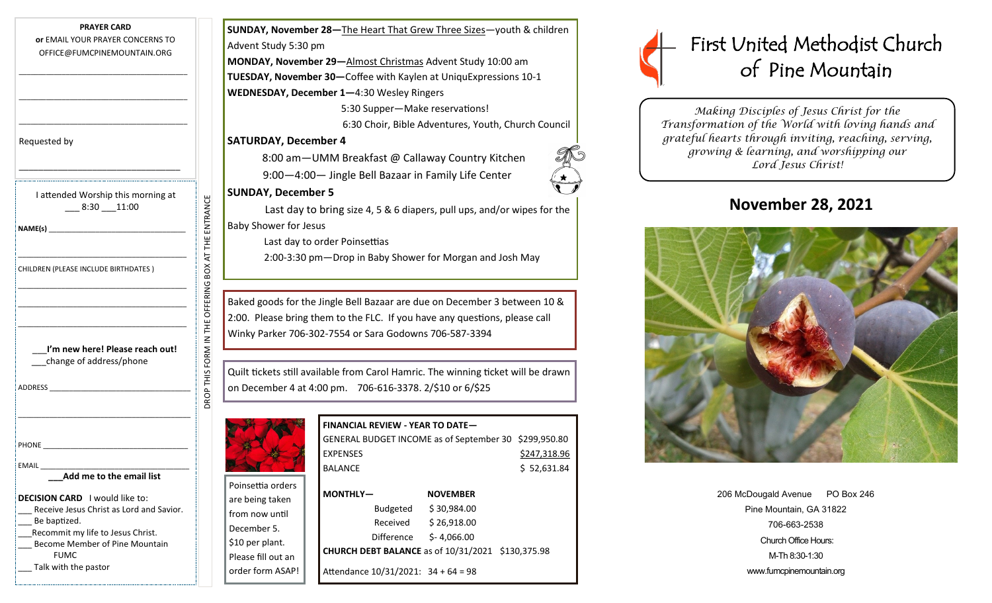| <b>PRAYER CARD</b><br>or EMAIL YOUR PRAYER CONCERNS TO<br>OFFICE@FUMCPINEMOUNTAIN.ORG                                                                                                                                                                                                        |                                | <b>SUNDAY, N</b><br><b>Advent Stud</b><br><b>MONDAY, I</b><br><b>TUESDAY, M</b><br><b>WEDNESDA</b> |
|----------------------------------------------------------------------------------------------------------------------------------------------------------------------------------------------------------------------------------------------------------------------------------------------|--------------------------------|----------------------------------------------------------------------------------------------------|
| Requested by                                                                                                                                                                                                                                                                                 |                                | <b>SATURDAY</b><br>8:0<br>9:0                                                                      |
| I attended Worship this morning at<br>$-8:30 - 11:00$                                                                                                                                                                                                                                        | BOX AT THE ENTRANCE            | <b>SUNDAY, I</b><br>Las<br><b>Baby Showe</b><br>Las<br>2:0                                         |
| CHILDREN (PLEASE INCLUDE BIRTHDATES)                                                                                                                                                                                                                                                         | DROP THIS FORM IN THE OFFERING | Baked good<br>2:00. Pleas<br>Winky Park                                                            |
| I'm new here! Please reach out!<br>change of address/phone<br>ADDRESS AND THE STATE OF THE STATE OF THE STATE OF THE STATE OF THE STATE OF THE STATE OF THE STATE OF THE STATE OF THE STATE OF THE STATE OF THE STATE OF THE STATE OF THE STATE OF THE STATE OF THE STATE OF THE STATE OF TH |                                | Quilt tickets<br>on Decemb                                                                         |
| PHONE<br>EMAIL<br>Add me to the email list                                                                                                                                                                                                                                                   |                                | Poinsettia or                                                                                      |
| <b>DECISION CARD</b> I would like to:<br>Receive Jesus Christ as Lord and Savior.<br>Be baptized.<br>Recommit my life to Jesus Christ.<br>Become Member of Pine Mountain<br><b>FUMC</b>                                                                                                      |                                | are being tal<br>from now ur<br>December 5<br>\$10 per plan<br>Dlease fill ou                      |

Talk with the pastor

**SUNDAY, November 28—**The Heart That Grew Three Sizes—youth & children ent Study 5:30 pm **MONDAY, November 29—**Almost Christmas Advent Study 10:00 am

**SDAY, November 30—Coffee with Kaylen at UniquExpressions 10-1 WEDNESDAY, December 1—**4:30 Wesley Ringers

> 5:30 Supper—Make reservations! 6:30 Choir, Bible Adventures, Youth, Church Council

#### **URDAY, December 4**

8:00 am—UMM Breakfast @ Callaway Country Kitchen

9:00—4:00— Jingle Bell Bazaar in Family Life Center

#### **IDAY, December 5**

Last day to bring size 4, 5 & 6 diapers, pull ups, and/or wipes for the Shower for Jesus

Last day to order Poinsettias

2:00-3:30 pm—Drop in Baby Shower for Morgan and Josh May

ed goods for the Jingle Bell Bazaar are due on December 3 between 10 & Please bring them to the FLC. If you have any questions, please call ky Parker 706-302-7554 or Sara Godowns 706-587-3394

tickets still available from Carol Hamric. The winning ticket will be drawn 0ecember 4 at 4:00 pm. 706-616-3378. 2/\$10 or 6/\$25



**FINANCIAL REVIEW - YEAR TO DATE—** GENERAL BUDGET INCOME as of September 30 \$299,950.80 EXPENSES \$247,318.96 BALANCE \$52,631.84

| Poinsettia orders  |                                                          |                 |  |
|--------------------|----------------------------------------------------------|-----------------|--|
| are being taken    | MONTHLY-                                                 | <b>NOVEMBER</b> |  |
| from now until     | <b>Budgeted</b>                                          | \$30,984.00     |  |
| December 5.        | Received                                                 | \$26,918.00     |  |
|                    | <b>Difference</b>                                        | $S - 4.066.00$  |  |
| \$10 per plant.    | <b>CHURCH DEBT BALANCE as of 10/31/2021 \$130,375.98</b> |                 |  |
| Please fill out an |                                                          |                 |  |
| order form ASAP!   | Attendance 10/31/2021: 34 + 64 = 98                      |                 |  |

# First United Methodist Church of Pine Mountain

*Making Disciples of Jesus Christ for the Transformation of the World with loving hands and grateful hearts through inviting, reaching, serving, growing & learning, and worshipping our Lord Jesus Christ!* 

# **November 28, 2021**



| 206 McDougald Avenue     | PO Box 246 |  |  |
|--------------------------|------------|--|--|
| Pine Mountain, GA 31822  |            |  |  |
| 706-663-2538             |            |  |  |
| Church Office Hours:     |            |  |  |
| M-Th 8:30-1:30           |            |  |  |
| www.fumcpinemountain.org |            |  |  |